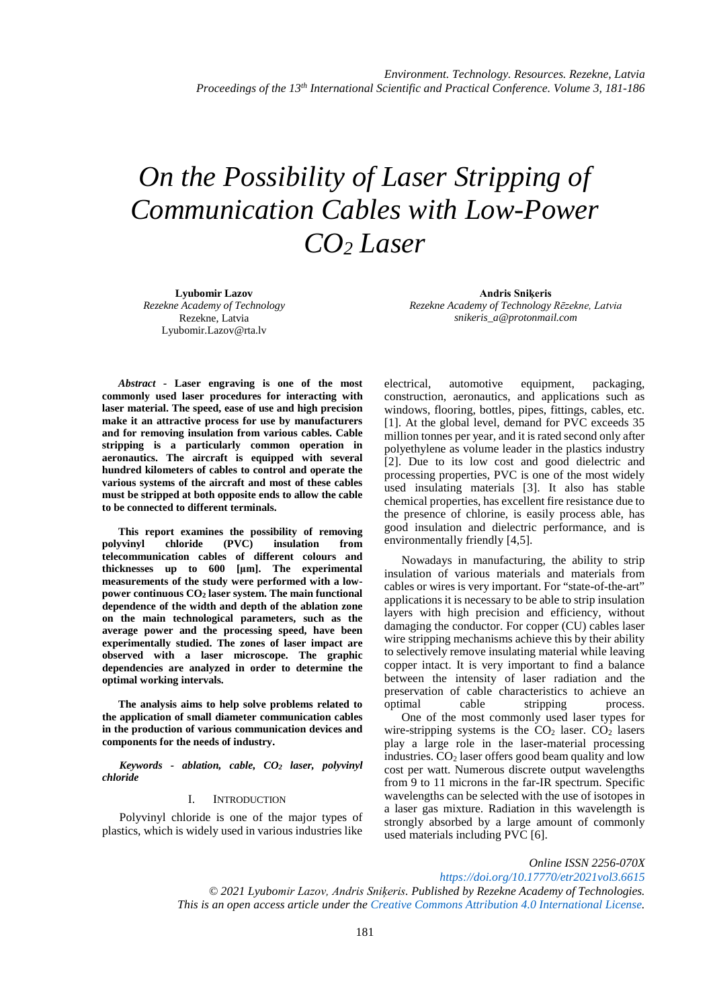# *On the Possibility of Laser Stripping of Communication Cables with Low-Power CO2 Laser*

**Lyubomir Lazov** *Rezekne Academy of Technology* Rezekne, Latvia [Lyubomir.Lazov@rta.lv](mailto:Lyubomir.Lazov@rta.lv)

**Andris Sniķeris** *Rezekne Academy of Technology Rēzekne, Latvia snikeris\_a@protonmail.com*

*Abstract -* **Laser engraving is one of the most commonly used laser procedures for interacting with laser material. The speed, ease of use and high precision make it an attractive process for use by manufacturers and for removing insulation from various cables. Cable stripping is a particularly common operation in aeronautics. The aircraft is equipped with several hundred kilometers of cables to control and operate the various systems of the aircraft and most of these cables must be stripped at both opposite ends to allow the cable to be connected to different terminals.**

**This report examines the possibility of removing polyvinyl chloride (PVC) insulation from telecommunication cables of different colours and thicknesses up to 600 [μm]. The experimental measurements of the study were performed with a lowpower continuous CO2 laser system. The main functional dependence of the width and depth of the ablation zone on the main technological parameters, such as the average power and the processing speed, have been experimentally studied. The zones of laser impact are observed with a laser microscope. The graphic dependencies are analyzed in order to determine the optimal working intervals.**

**The analysis aims to help solve problems related to the application of small diameter communication cables in the production of various communication devices and components for the needs of industry.** 

*Keywords - ablation, cable, CO2 laser, polyvinyl chloride*

## I. INTRODUCTION

Polyvinyl chloride is one of the major types of plastics, which is widely used in various industries like

electrical, automotive equipment, packaging, construction, aeronautics, and applications such as windows, flooring, bottles, pipes, fittings, cables, etc. [1]. At the global level, demand for PVC exceeds 35 million tonnes per year, and it is rated second only after polyethylene as volume leader in the plastics industry [2]. Due to its low cost and good dielectric and processing properties, PVC is one of the most widely used insulating materials [3]. It also has stable chemical properties, has excellent fire resistance due to the presence of chlorine, is easily process able, has good insulation and dielectric performance, and is environmentally friendly [4,5].

Nowadays in manufacturing, the ability to strip insulation of various materials and materials from cables or wires is very important. For "state-of-the-art" applications it is necessary to be able to strip insulation layers with high precision and efficiency, without damaging the conductor. For copper (CU) cables laser wire stripping mechanisms achieve this by their ability to selectively remove insulating material while leaving copper intact. It is very important to find a balance between the intensity of laser radiation and the preservation of cable characteristics to achieve an optimal cable stripping process. One of the most commonly used laser types for wire-stripping systems is the  $CO<sub>2</sub>$  laser.  $CO<sub>2</sub>$  lasers play a large role in the laser-material processing industries.  $CO<sub>2</sub>$  laser offers good beam quality and low cost per watt. Numerous discrete output wavelengths from 9 to 11 microns in the far-IR spectrum. Specific wavelengths can be selected with the use of isotopes in a laser gas mixture. Radiation in this wavelength is strongly absorbed by a large amount of commonly used materials including PVC [6].

*Online ISSN 2256-070X*

*<https://doi.org/10.17770/etr2021vol3.6615> © 2021 Lyubomir Lazov, Andris Sniķeris. Published by Rezekne Academy of Technologies. This is an open access article under th[e Creative Commons Attribution 4.0 International License.](https://creativecommons.org/licenses/by/4.0/)*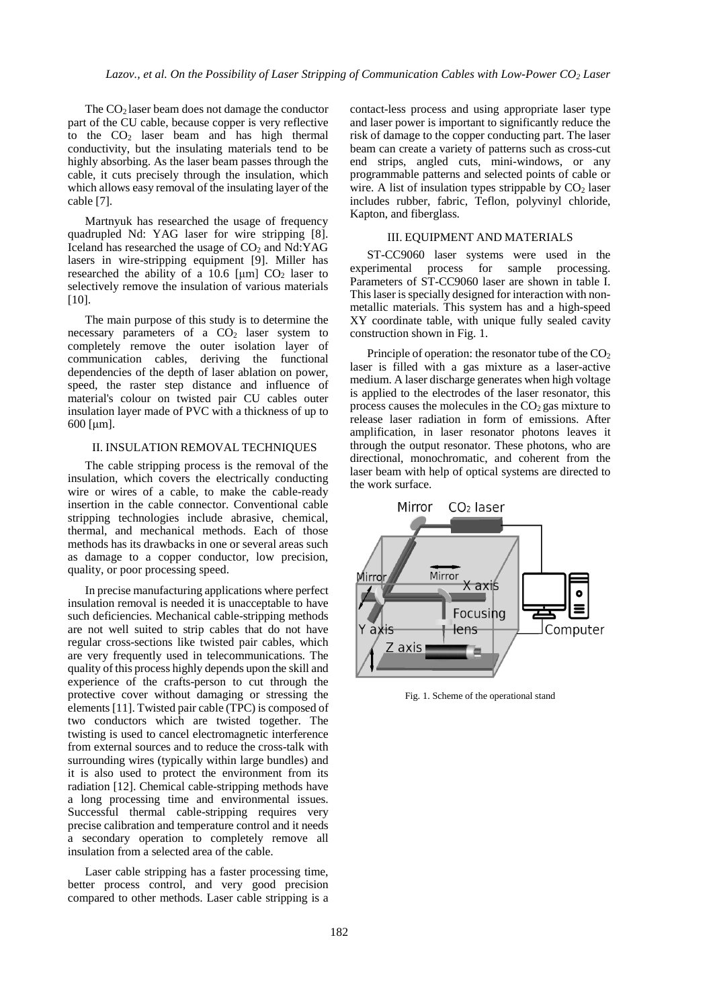The CO2 laser beam does not damage the conductor part of the CU cable, because copper is very reflective to the  $CO<sub>2</sub>$  laser beam and has high thermal conductivity, but the insulating materials tend to be highly absorbing. As the laser beam passes through the cable, it cuts precisely through the insulation, which which allows easy removal of the insulating layer of the cable [7].

Martnyuk has researched the usage of frequency quadrupled Nd: YAG laser for wire stripping [8]. Iceland has researched the usage of  $CO<sub>2</sub>$  and Nd:YAG lasers in wire-stripping equipment [9]. Miller has researched the ability of a 10.6  $\lceil \mu m \rceil$  CO<sub>2</sub> laser to selectively remove the insulation of various materials  $[10]$ .

The main purpose of this study is to determine the necessary parameters of a  $CO<sub>2</sub>$  laser system to completely remove the outer isolation layer of communication cables, deriving the functional dependencies of the depth of laser ablation on power, speed, the raster step distance and influence of material's colour on twisted pair CU cables outer insulation layer made of PVC with a thickness of up to 600 [μm].

### II. INSULATION REMOVAL TECHNIQUES

The cable stripping process is the removal of the insulation, which covers the electrically conducting wire or wires of a cable, to make the cable-ready insertion in the cable connector. Conventional cable stripping technologies include abrasive, chemical, thermal, and mechanical methods. Each of those methods has its drawbacks in one or several areas such as damage to a copper conductor, low precision, quality, or poor processing speed.

In precise manufacturing applications where perfect insulation removal is needed it is unacceptable to have such deficiencies. Mechanical cable-stripping methods are not well suited to strip cables that do not have regular cross-sections like twisted pair cables, which are very frequently used in telecommunications. The quality of this process highly depends upon the skill and experience of the crafts-person to cut through the protective cover without damaging or stressing the elements [11]. Twisted pair cable (TPC) is composed of two conductors which are twisted together. The twisting is used to cancel electromagnetic interference from external sources and to reduce the cross-talk with surrounding wires (typically within large bundles) and it is also used to protect the environment from its radiation [12]. Chemical cable-stripping methods have a long processing time and environmental issues. Successful thermal cable-stripping requires very precise calibration and temperature control and it needs a secondary operation to completely remove all insulation from a selected area of the cable.

Laser cable stripping has a faster processing time, better process control, and very good precision compared to other methods. Laser cable stripping is a contact-less process and using appropriate laser type and laser power is important to significantly reduce the risk of damage to the copper conducting part. The laser beam can create a variety of patterns such as cross-cut end strips, angled cuts, mini-windows, or any programmable patterns and selected points of cable or wire. A list of insulation types strippable by  $CO<sub>2</sub>$  laser includes rubber, fabric, Teflon, polyvinyl chloride, Kapton, and fiberglass.

## III. EQUIPMENT AND MATERIALS

ST-CC9060 laser systems were used in the experimental process for sample processing. process for sample processing. Parameters of ST-CC9060 laser are shown in table I. This laser is specially designed for interaction with nonmetallic materials. This system has and a high-speed XY coordinate table, with unique fully sealed cavity construction shown in Fig. 1.

Principle of operation: the resonator tube of the  $CO<sub>2</sub>$ laser is filled with a gas mixture as a laser-active medium. A laser discharge generates when high voltage is applied to the electrodes of the laser resonator, this process causes the molecules in the  $CO<sub>2</sub>$  gas mixture to release laser radiation in form of emissions. After amplification, in laser resonator photons leaves it through the output resonator. These photons, who are directional, monochromatic, and coherent from the laser beam with help of optical systems are directed to the work surface.



Fig. 1. Scheme of the operational stand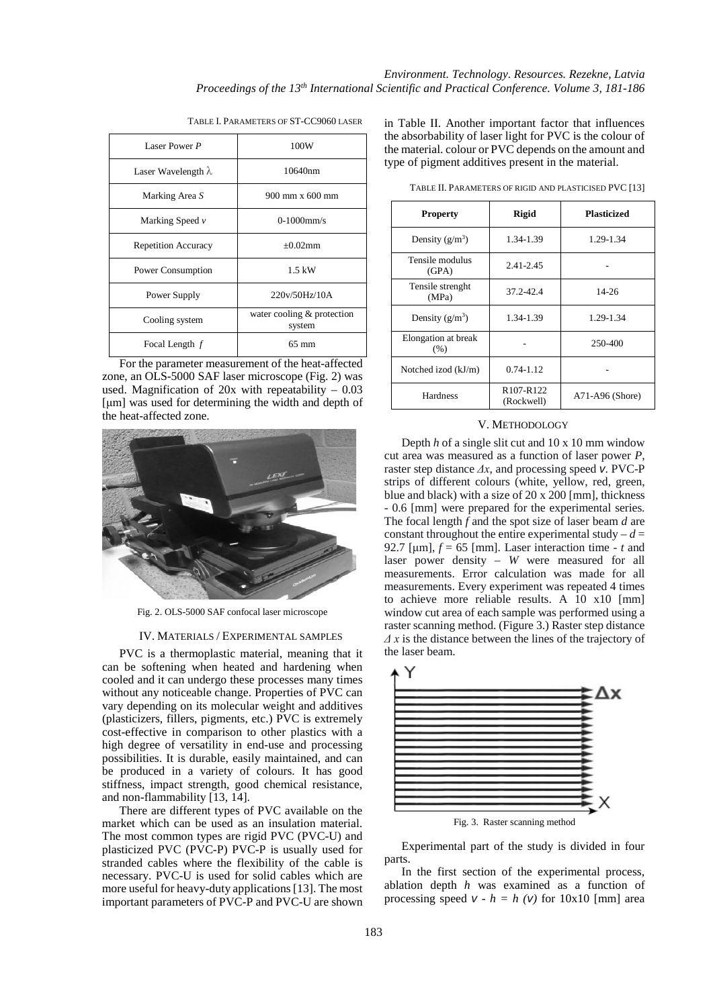| Laser Power P              | 100W                                 |
|----------------------------|--------------------------------------|
| Laser Wavelength $\lambda$ | 10640nm                              |
| Marking Area S             | 900 mm x 600 mm                      |
| Marking Speed $\nu$        | $0-1000$ mm/s                        |
| <b>Repetition Accuracy</b> | $+0.02$ mm                           |
| Power Consumption          | $1.5$ kW                             |
| Power Supply               | 220v/50Hz/10A                        |
| Cooling system             | water cooling & protection<br>system |
| Focal Length f             | $65 \text{ mm}$                      |

TABLE I. PARAMETERS OF ST-CC9060 LASER

For the parameter measurement of the heat-affected zone, an OLS-5000 SAF laser microscope (Fig. 2) was used. Magnification of  $20x$  with repeatability –  $0.03$ [um] was used for determining the width and depth of the heat-affected zone.



Fig. 2. OLS-5000 SAF confocal laser microscope

#### IV. MATERIALS / ЕXPERIMENTAL SAMPLES

PVC is a thermoplastic material, meaning that it can be softening when heated and hardening when cooled and it can undergo these processes many times without any noticeable change. Properties of PVC can vary depending on its molecular weight and additives (plasticizers, fillers, pigments, etc.) PVC is extremely cost-effective in comparison to other plastics with a high degree of versatility in end-use and processing possibilities. It is durable, easily maintained, and can be produced in a variety of colours. It has good stiffness, impact strength, good chemical resistance, and non-flammability [13, 14].

There are different types of PVC available on the market which can be used as an insulation material. The most common types are rigid PVC (PVC-U) and plasticized PVC (PVC-P) PVC-P is usually used for stranded cables where the flexibility of the cable is necessary. PVC-U is used for solid cables which are more useful for heavy-duty applications [13]. The most important parameters of PVC-P and PVC-U are shown

in Table II. Another important factor that influences the absorbability of laser light for PVC is the colour of the material. colour or PVC depends on the amount and type of pigment additives present in the material.

| $\omega$ of $\frac{1}{2}$ . The $\frac{1}{2}$ controlled by $\frac{1}{2}$ , $\frac{1}{2}$ , $\frac{1}{2}$ , $\frac{1}{2}$ |                                                  |                    |
|---------------------------------------------------------------------------------------------------------------------------|--------------------------------------------------|--------------------|
| <b>Property</b>                                                                                                           | <b>Rigid</b>                                     | <b>Plasticized</b> |
| Density $(g/m^3)$                                                                                                         | 1.34-1.39                                        | 1.29-1.34          |
| Tensile modulus<br>(GPA)                                                                                                  | $2.41 - 2.45$                                    |                    |
| Tensile strenght<br>(MPa)                                                                                                 | 37.2-42.4                                        | $14 - 26$          |
| Density $(g/m^3)$                                                                                                         | 1.34-1.39                                        | 1.29-1.34          |
| Elongation at break<br>(% )                                                                                               |                                                  | 250-400            |
| Notched izod (kJ/m)                                                                                                       | $0.74 - 1.12$                                    |                    |
| Hardness                                                                                                                  | R <sub>107</sub> -R <sub>122</sub><br>(Rockwell) | $A71-A96$ (Shore)  |

TABLE II. PARAMETERS OF RIGID AND PLASTICISED PVC [13]

## V. METHODOLOGY

Depth *h* of a single slit cut and 10 x 10 mm window cut area was measured as a function of laser power *P*, raster step distance *Δx*, and processing speed *v*. PVC-P strips of different colours (white, yellow, red, green, blue and black) with a size of 20 x 200 [mm], thickness - 0.6 [mm] were prepared for the experimental series. The focal length *f* and the spot size of laser beam *d* are constant throughout the entire experimental study  $-d =$ 92.7 [µm],  $f = 65$  [mm]. Laser interaction time -  $t$  and laser power density – *W* were measured for all measurements. Error calculation was made for all measurements. Every experiment was repeated 4 times to achieve more reliable results. A 10 x10 [mm] window cut area of each sample was performed using a raster scanning method. (Figure 3.) Raster step distance *Δ x* is the distance between the lines of the trajectory of the laser beam.



Experimental part of the study is divided in four parts.

In the first section of the experimental process, ablation depth *h* was examined as a function of processing speed  $v - h = h (v)$  for 10x10 [mm] area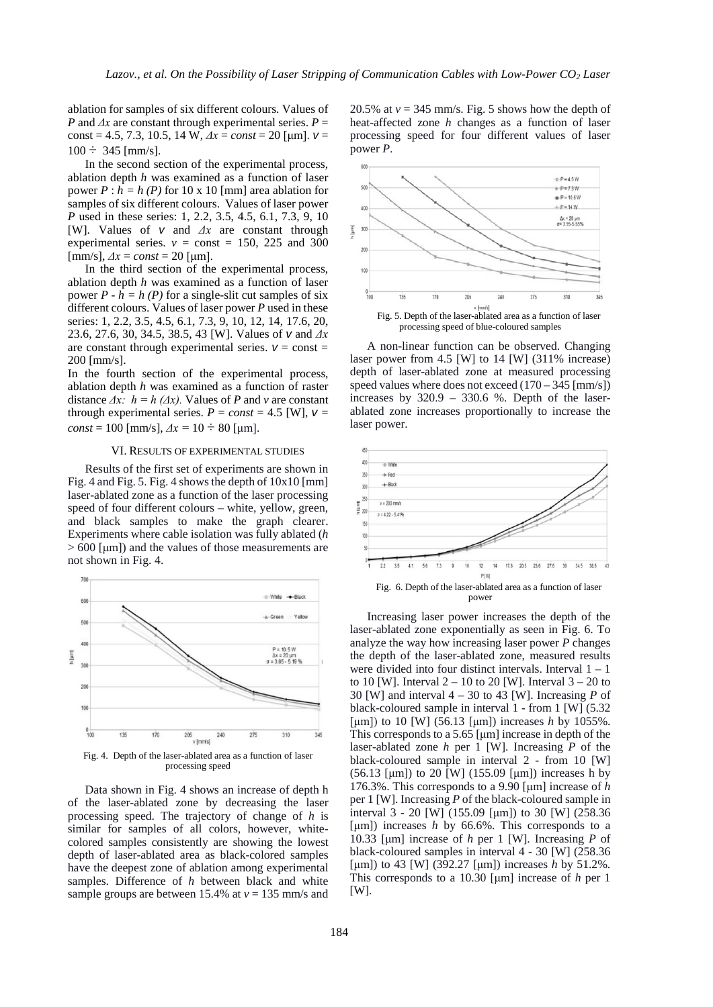ablation for samples of six different colours. Values of *P* and  $\Delta x$  are constant through experimental series.  $P =$ const = 4.5, 7.3, 10.5, 14 W, *Δx* = *const* = 20 [μm]. *v* =  $100 \div 345$  [mm/s].

In the second section of the experimental process, ablation depth *h* was examined as a function of laser power  $P : h = h (P)$  for 10 x 10 [mm] area ablation for samples of six different colours. Values of laser power *P* used in these series: 1, 2.2, 3.5, 4.5, 6.1, 7.3, 9, 10 [W]. Values of *v* and *Δx* are constant through experimental series.  $v = const = 150$ , 225 and 300  $[mm/s], \Delta x = const = 20$  [µm].

In the third section of the experimental process, ablation depth *h* was examined as a function of laser power  $P - h = h(P)$  for a single-slit cut samples of six different colours. Values of laser power *P* used in these series: 1, 2.2, 3.5, 4.5, 6.1, 7.3, 9, 10, 12, 14, 17.6, 20, 23.6, 27.6, 30, 34.5, 38.5, 43 [W]. Values of *v* and *Δx* are constant through experimental series.  $v = const =$ 200 [mm/s].

In the fourth section of the experimental process, ablation depth *h* was examined as a function of raster distance  $\Delta x$ :  $h = h (\Delta x)$ . Values of *P* and *v* are constant through experimental series.  $P = const = 4.5$  [W],  $v =$ *const* = 100 [mm/s],  $\Delta x = 10 \div 80$  [µm].

#### VI. RESULTS OF EXPERIMENTAL STUDIES

Results of the first set of experiments are shown in Fig. 4 and Fig. 5. Fig. 4 shows the depth of 10x10 [mm] laser-ablated zone as a function of the laser processing speed of four different colours – white, yellow, green, and black samples to make the graph clearer. Experiments where cable isolation was fully ablated (*h* > 600 [μm]) and the values of those measurements are not shown in Fig. 4.



Data shown in Fig. 4 shows an increase of depth h of the laser-ablated zone by decreasing the laser processing speed. The trajectory of change of *h* is similar for samples of all colors, however, whitecolored samples consistently are showing the lowest depth of laser-ablated area as black-colored samples have the deepest zone of ablation among experimental samples. Difference of *h* between black and white sample groups are between 15.4% at  $v = 135$  mm/s and

20.5% at  $v = 345$  mm/s. Fig. 5 shows how the depth of heat-affected zone *h* changes as a function of laser processing speed for four different values of laser power *P*.



processing speed of blue-coloured samples

A non-linear function can be observed. Changing laser power from 4.5 [W] to 14 [W] (311% increase) depth of laser-ablated zone at measured processing speed values where does not exceed  $(170 - 345$  [mm/s]) increases by  $320.9 - 330.6$  %. Depth of the laserablated zone increases proportionally to increase the laser power.



Increasing laser power increases the depth of the laser-ablated zone exponentially as seen in Fig. 6. To analyze the way how increasing laser power *P* changes the depth of the laser-ablated zone, measured results were divided into four distinct intervals. Interval  $1 - 1$ to 10 [W]. Interval  $2 - 10$  to 20 [W]. Interval  $3 - 20$  to 30 [W] and interval 4 – 30 to 43 [W]. Increasing *P* of black-coloured sample in interval 1 - from 1 [W] (5.32 [μm]) to 10 [W] (56.13 [μm]) increases *h* by 1055%. This corresponds to a 5.65 [μm] increase in depth of the laser-ablated zone *h* per 1 [W]. Increasing *P* of the black-coloured sample in interval 2 - from 10 [W] (56.13 [μm]) to 20 [W] (155.09 [μm]) increases h by 176.3%. This corresponds to a 9.90 [μm] increase of *h*  per 1 [W]. Increasing *P* of the black-coloured sample in interval 3 - 20 [W] (155.09 [μm]) to 30 [W] (258.36 [μm]) increases *h* by 66.6%. This corresponds to a 10.33 [μm] increase of *h* per 1 [W]. Increasing *P* of black-coloured samples in interval 4 - 30 [W] (258.36 [μm]) to 43 [W] (392.27 [μm]) increases *h* by 51.2%. This corresponds to a 10.30 [μm] increase of *h* per 1 [W].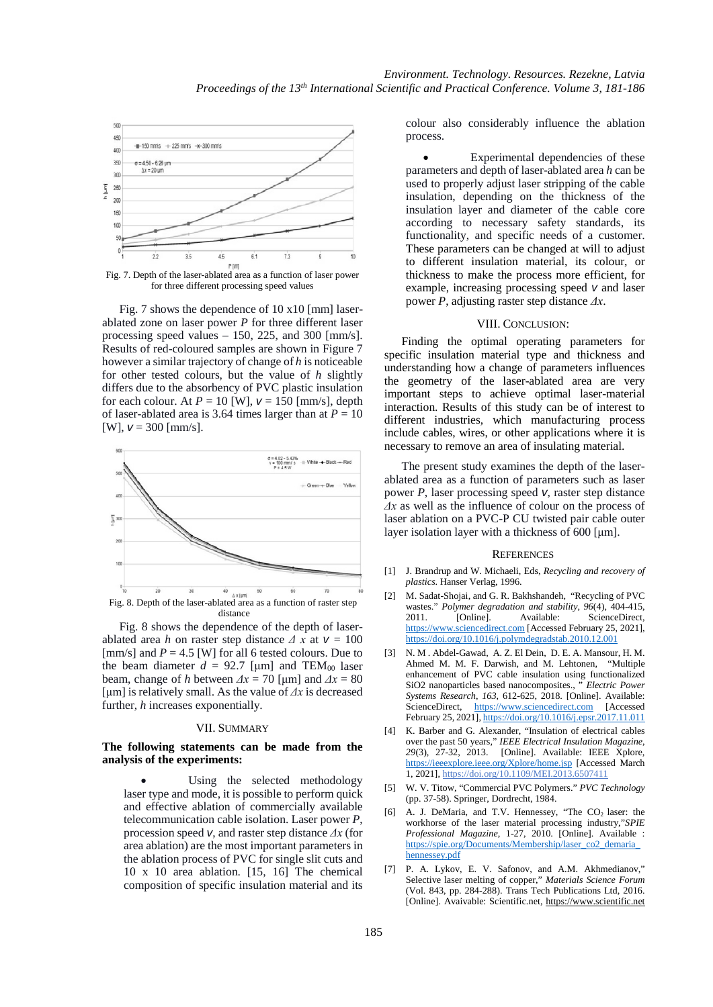

Fig. 7. Depth of the laser-ablated area as a function of laser power for three different processing speed values

Fig. 7 shows the dependence of 10 x10 [mm] laserablated zone on laser power *P* for three different laser processing speed values – 150, 225, and 300 [mm/s]. Results of red-coloured samples are shown in Figure 7 however a similar trajectory of change of *h* is noticeable for other tested colours, but the value of *h* slightly differs due to the absorbency of PVC plastic insulation for each colour. At  $P = 10$  [W],  $v = 150$  [mm/s], depth of laser-ablated area is 3.64 times larger than at  $P = 10$ [W],  $v = 300$  [mm/s].



Fig. 8 shows the dependence of the depth of laserablated area *h* on raster step distance  $\Delta x$  at  $v = 100$ [mm/s] and  $P = 4.5$  [W] for all 6 tested colours. Due to the beam diameter  $d = 92.7$  [µm] and TEM<sub>00</sub> laser beam, change of *h* between  $\Delta x = 70$  [µm] and  $\Delta x = 80$ [μm] is relatively small. As the value of *Δx* is decreased further, *h* increases exponentially.

## VII. SUMMARY

# **The following statements can be made from the analysis of the experiments:**

Using the selected methodology laser type and mode, it is possible to perform quick and effective ablation of commercially available telecommunication cable isolation. Laser power *P*, procession speed *v*, and raster step distance *Δx* (for area ablation) are the most important parameters in the ablation process of PVC for single slit cuts and 10 x 10 area ablation. [15, 16] The chemical composition of specific insulation material and its

colour also considerably influence the ablation process.

Experimental dependencies of these parameters and depth of laser-ablated area *h* can be used to properly adjust laser stripping of the cable insulation, depending on the thickness of the insulation layer and diameter of the cable core according to necessary safety standards, its functionality, and specific needs of a customer. These parameters can be changed at will to adjust to different insulation material, its colour, or thickness to make the process more efficient, for example, increasing processing speed *v* and laser power *P*, adjusting raster step distance *Δx*.

## VIII. CONCLUSION:

Finding the optimal operating parameters for specific insulation material type and thickness and understanding how a change of parameters influences the geometry of the laser-ablated area are very important steps to achieve optimal laser-material interaction. Results of this study can be of interest to different industries, which manufacturing process include cables, wires, or other applications where it is necessary to remove an area of insulating material.

The present study examines the depth of the laserablated area as a function of parameters such as laser power *P*, laser processing speed *v*, raster step distance *Δx* as well as the influence of colour on the process of laser ablation on a PVC-P CU twisted pair cable outer layer isolation layer with a thickness of 600 [μm].

#### **REFERENCES**

- [1] J. Brandrup and W. Michaeli, Eds, *Recycling and recovery of plastics*. Hanser Verlag, 1996.
- [2] M. Sadat-Shojai, and G. R. Bakhshandeh, "Recycling of PVC wastes." *Polymer degradation and stability*, *96*(4), 404-415, 2011. [Online]. Available: ScienceDirect, [https://www.sciencedirect.com](https://www.sciencedirect.com/) [Accessed February 25, 2021], <https://doi.org/10.1016/j.polymdegradstab.2010.12.001>
- [3] N. M . Abdel-Gawad, A. Z. El Dein, D. E. A. Mansour, H. M. Ahmed M. M. F. Darwish, and M. Lehtonen, "Multiple enhancement of PVC cable insulation using functionalized SiO2 nanoparticles based nanocomposites., " *Electric Power* SiO2 nanoparticles based nanocomposites., ' *Systems Research*, *163*, 612-625, 2018. [Online]. Available: ScienceDirect, [https://www.sciencedirect.com](https://www.sciencedirect.com/) [Accessed February 25, 2021][, https://doi.org/10.1016/j.epsr.2017.11.011](https://doi.org/10.1016/j.epsr.2017.11.011)
- [4] K. Barber and G. Alexander, "Insulation of electrical cables over the past 50 years," *IEEE Electrical Insulation Magazine*, *29*(3), 27-32, 2013. [Online]. Available: IEEE Xplore, <https://ieeexplore.ieee.org/Xplore/home.jsp> [Accessed March 1, 2021][, https://doi.org/10.1109/MEI.2013.6507411](https://doi.org/10.1109/MEI.2013.6507411)
- [5] W. V. Titow, "Commercial PVC Polymers." *PVC Technology*  (pp. 37-58). Springer, Dordrecht, 1984.
- [6] A. J. DeMaria, and T.V. Hennessey, "The  $CO<sub>2</sub>$  laser: the workhorse of the laser material processing industry,"*SPIE Professional Magazine*, 1-27, 2010. [Online]. Available : [https://spie.org/Documents/Membership/laser\\_co2\\_demaria\\_](https://spie.org/Documents/Membership/laser_co2_demaria_hennessey.pdf) [hennessey.pdf](https://spie.org/Documents/Membership/laser_co2_demaria_hennessey.pdf)
- [7] P. A. Lykov, E. V. Safonov, and A.M. Akhmedianov," Selective laser melting of copper," *Materials Science Forum*  (Vol. 843, pp. 284-288). Trans Tech Publications Ltd, 2016. [Online]. Avaivable: Scientific.net, [https://www.scientific.net](https://www.scientific.net/)